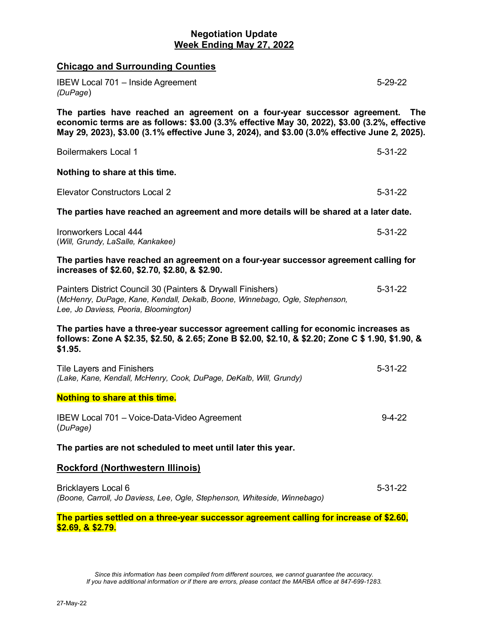# **Negotiation Update Week Ending May 27, 2022**

| <b>Chicago and Surrounding Counties</b>                                                                                                                                                                                                                                     |               |
|-----------------------------------------------------------------------------------------------------------------------------------------------------------------------------------------------------------------------------------------------------------------------------|---------------|
| IBEW Local 701 - Inside Agreement<br>(DuPage)                                                                                                                                                                                                                               | $5 - 29 - 22$ |
| The parties have reached an agreement on a four-year successor agreement.<br>economic terms are as follows: \$3.00 (3.3% effective May 30, 2022), \$3.00 (3.2%, effective<br>May 29, 2023), \$3.00 (3.1% effective June 3, 2024), and \$3.00 (3.0% effective June 2, 2025). | <b>The</b>    |
| <b>Boilermakers Local 1</b>                                                                                                                                                                                                                                                 | $5 - 31 - 22$ |
| Nothing to share at this time.                                                                                                                                                                                                                                              |               |
| <b>Elevator Constructors Local 2</b>                                                                                                                                                                                                                                        | $5 - 31 - 22$ |
| The parties have reached an agreement and more details will be shared at a later date.                                                                                                                                                                                      |               |
| Ironworkers Local 444<br>(Will, Grundy, LaSalle, Kankakee)                                                                                                                                                                                                                  | $5 - 31 - 22$ |
| The parties have reached an agreement on a four-year successor agreement calling for<br>increases of \$2.60, \$2.70, \$2.80, & \$2.90.                                                                                                                                      |               |
| Painters District Council 30 (Painters & Drywall Finishers)<br>(McHenry, DuPage, Kane, Kendall, Dekalb, Boone, Winnebago, Ogle, Stephenson,<br>Lee, Jo Daviess, Peoria, Bloomington)                                                                                        | $5 - 31 - 22$ |
| The parties have a three-year successor agreement calling for economic increases as<br>follows: Zone A \$2.35, \$2.50, & 2.65; Zone B \$2.00, \$2.10, & \$2.20; Zone C \$ 1.90, \$1.90, &<br>\$1.95.                                                                        |               |
| <b>Tile Layers and Finishers</b><br>(Lake, Kane, Kendall, McHenry, Cook, DuPage, DeKalb, Will, Grundy)                                                                                                                                                                      | $5 - 31 - 22$ |
| <b>Nothing to share at this time.</b>                                                                                                                                                                                                                                       |               |
| IBEW Local 701 - Voice-Data-Video Agreement<br>(DuPage)                                                                                                                                                                                                                     | $9 - 4 - 22$  |
| The parties are not scheduled to meet until later this year.                                                                                                                                                                                                                |               |
| <b>Rockford (Northwestern Illinois)</b>                                                                                                                                                                                                                                     |               |
| Bricklayers Local 6<br>(Boone, Carroll, Jo Daviess, Lee, Ogle, Stephenson, Whiteside, Winnebago)                                                                                                                                                                            | $5 - 31 - 22$ |
| The parties settled on a three-year successor agreement calling for increase of \$2.60,<br><u>\$2.69, &amp; \$2.79.</u>                                                                                                                                                     |               |

*Since this information has been compiled from different sources, we cannot guarantee the accuracy. If you have additional information or if there are errors, please contact the MARBA office at 847-699-1283.*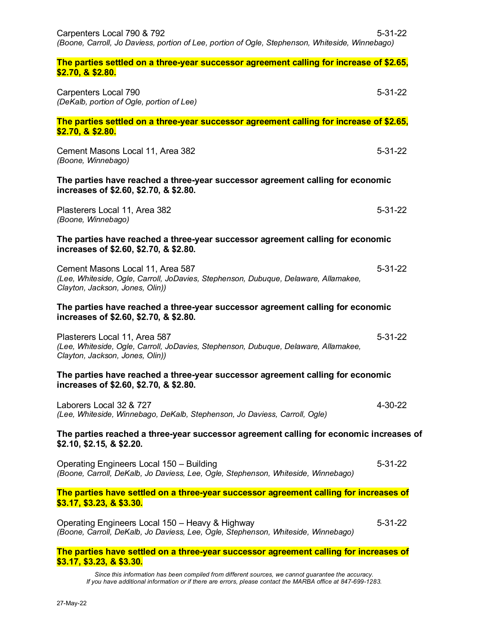| Carpenters Local 790 & 792<br>(Boone, Carroll, Jo Daviess, portion of Lee, portion of Ogle, Stephenson, Whiteside, Winnebago)                              | $5 - 31 - 22$ |
|------------------------------------------------------------------------------------------------------------------------------------------------------------|---------------|
| The parties settled on a three-year successor agreement calling for increase of \$2.65,<br><u>\$2.70, &amp; \$2.80.</u>                                    |               |
| Carpenters Local 790<br>(DeKalb, portion of Ogle, portion of Lee)                                                                                          | $5 - 31 - 22$ |
| The parties settled on a three-year successor agreement calling for increase of \$2.65,<br>\$2.70, & \$2.80.                                               |               |
| Cement Masons Local 11, Area 382<br>(Boone, Winnebago)                                                                                                     | $5 - 31 - 22$ |
| The parties have reached a three-year successor agreement calling for economic<br>increases of \$2.60, \$2.70, & \$2.80.                                   |               |
| Plasterers Local 11, Area 382<br>(Boone, Winnebago)                                                                                                        | $5 - 31 - 22$ |
| The parties have reached a three-year successor agreement calling for economic<br>increases of \$2.60, \$2.70, & \$2.80.                                   |               |
| Cement Masons Local 11, Area 587<br>(Lee, Whiteside, Ogle, Carroll, JoDavies, Stephenson, Dubuque, Delaware, Allamakee,<br>Clayton, Jackson, Jones, Olin)) | $5 - 31 - 22$ |
| The parties have reached a three-year successor agreement calling for economic<br>increases of \$2.60, \$2.70, & \$2.80.                                   |               |
| Plasterers Local 11, Area 587<br>(Lee, Whiteside, Ogle, Carroll, JoDavies, Stephenson, Dubuque, Delaware, Allamakee,<br>Clayton, Jackson, Jones, Olin))    | $5 - 31 - 22$ |
| The parties have reached a three-year successor agreement calling for economic<br>increases of \$2.60, \$2.70, & \$2.80.                                   |               |
| Laborers Local 32 & 727<br>(Lee, Whiteside, Winnebago, DeKalb, Stephenson, Jo Daviess, Carroll, Ogle)                                                      | 4-30-22       |
| The parties reached a three-year successor agreement calling for economic increases of<br>\$2.10, \$2.15, 8 \$2.20.                                        |               |
| Operating Engineers Local 150 - Building<br>(Boone, Carroll, DeKalb, Jo Daviess, Lee, Ogle, Stephenson, Whiteside, Winnebago)                              | $5 - 31 - 22$ |
| The parties have settled on a three-year successor agreement calling for increases of<br>\$3.17, \$3.23, 8 \$3.30.                                         |               |
| Operating Engineers Local 150 - Heavy & Highway<br>(Boone, Carroll, DeKalb, Jo Daviess, Lee, Ogle, Stephenson, Whiteside, Winnebago)                       | $5 - 31 - 22$ |
|                                                                                                                                                            |               |

**The parties have settled on a three-year successor agreement calling for increases of \$3.17, \$3.23, & \$3.30.** 

*Since this information has been compiled from different sources, we cannot guarantee the accuracy. If you have additional information or if there are errors, please contact the MARBA office at 847-699-1283.*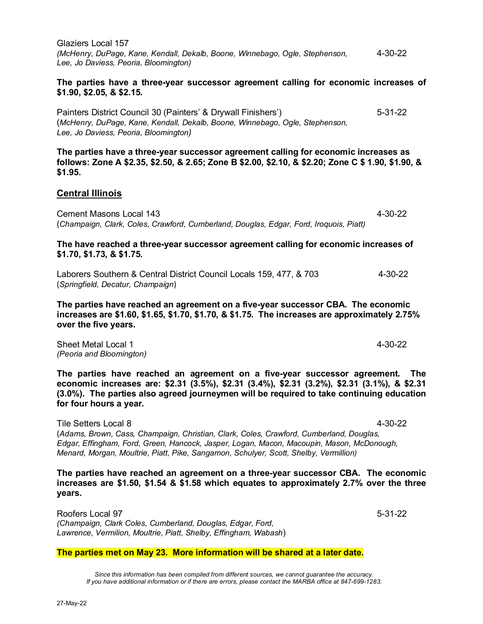Glaziers Local 157 *(McHenry, DuPage, Kane, Kendall, Dekalb, Boone, Winnebago, Ogle, Stephenson,* 4-30-22 *Lee, Jo Daviess, Peoria, Bloomington)*

### **The parties have a three-year successor agreement calling for economic increases of \$1.90, \$2.05, & \$2.15.**

Painters District Council 30 (Painters' & Drywall Finishers') 5-31-22 (*McHenry, DuPage, Kane, Kendall, Dekalb, Boone, Winnebago, Ogle, Stephenson, Lee, Jo Daviess, Peoria, Bloomington)* 

**The parties have a three-year successor agreement calling for economic increases as follows: Zone A \$2.35, \$2.50, & 2.65; Zone B \$2.00, \$2.10, & \$2.20; Zone C \$ 1.90, \$1.90, & \$1.95.**

## **Central Illinois**

Cement Masons Local 143 4-30-22 (*Champaign, Clark, Coles, Crawford, Cumberland, Douglas, Edgar, Ford, Iroquois, Piatt)* 

### **The have reached a three-year successor agreement calling for economic increases of \$1.70, \$1.73, & \$1.75.**

Laborers Southern & Central District Council Locals 159, 477, & 703 4-30-22 (*Springfield, Decatur, Champaign*)

**The parties have reached an agreement on a five-year successor CBA. The economic increases are \$1.60, \$1.65, \$1.70, \$1.70, & \$1.75. The increases are approximately 2.75% over the five years.** 

Sheet Metal Local 1 4-30-22 *(Peoria and Bloomington)* 

**The parties have reached an agreement on a five-year successor agreement. The economic increases are: \$2.31 (3.5%), \$2.31 (3.4%), \$2.31 (3.2%), \$2.31 (3.1%), & \$2.31 (3.0%). The parties also agreed journeymen will be required to take continuing education for four hours a year.** 

Tile Setters Local 8 4-30-22 (*Adams, Brown, Cass, Champaign, Christian, Clark, Coles, Crawford, Cumberland, Douglas, Edgar, Effingham, Ford, Green, Hancock, Jasper, Logan, Macon, Macoupin, Mason, McDonough, Menard, Morgan, Moultrie, Piatt, Pike, Sangamon, Schulyer, Scott, Shelby, Vermillion)*

**The parties have reached an agreement on a three-year successor CBA. The economic increases are \$1.50, \$1.54 & \$1.58 which equates to approximately 2.7% over the three years.**

Roofers Local 97 5-31-22 *(Champaign, Clark Coles, Cumberland, Douglas, Edgar, Ford, Lawrence, Vermilion, Moultrie, Piatt, Shelby, Effingham, Wabash*)

#### **The parties met on May 23. More information will be shared at a later date.**

*Since this information has been compiled from different sources, we cannot guarantee the accuracy. If you have additional information or if there are errors, please contact the MARBA office at 847-699-1283.*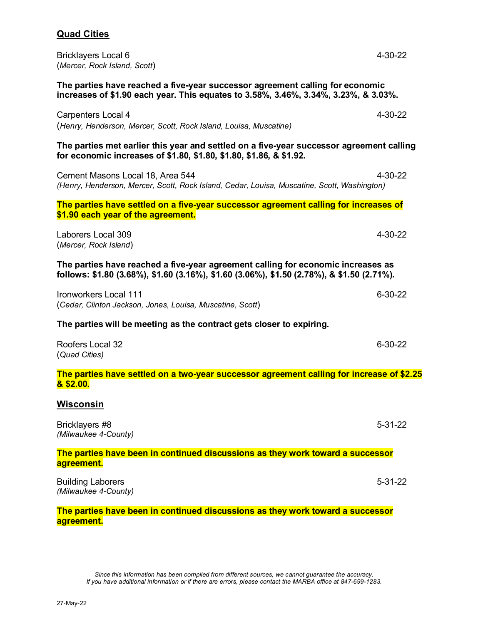## **Quad Cities**

Bricklayers Local 6 **4-30-22** (*Mercer, Rock Island, Scott*)

**The parties have reached a five-year successor agreement calling for economic increases of \$1.90 each year. This equates to 3.58%, 3.46%, 3.34%, 3.23%, & 3.03%.**

Carpenters Local 4 **4-30-22** (*Henry, Henderson, Mercer, Scott, Rock Island, Louisa, Muscatine)* 

**The parties met earlier this year and settled on a five-year successor agreement calling for economic increases of \$1.80, \$1.80, \$1.80, \$1.86, & \$1.92.** 

Cement Masons Local 18, Area 544 **4-30-22** 4-30-22 *(Henry, Henderson, Mercer, Scott, Rock Island, Cedar, Louisa, Muscatine, Scott, Washington)*

**The parties have settled on a five-year successor agreement calling for increases of \$1.90 each year of the agreement.** 

Laborers Local 309 4-30-22 (*Mercer, Rock Island*)

**The parties have reached a five-year agreement calling for economic increases as follows: \$1.80 (3.68%), \$1.60 (3.16%), \$1.60 (3.06%), \$1.50 (2.78%), & \$1.50 (2.71%).** 

Ironworkers Local 111 **6-30-22** (*Cedar, Clinton Jackson, Jones, Louisa, Muscatine, Scott*)

**The parties will be meeting as the contract gets closer to expiring.** 

| Roofers Local 32 | 6-30-22 |
|------------------|---------|
| (Quad Cities)    |         |

**The parties have settled on a two-year successor agreement calling for increase of \$2.25 & \$2.00.** 

### **Wisconsin**

| Bricklayers #8<br>(Milwaukee 4-County)                                                       | $5 - 31 - 22$ |
|----------------------------------------------------------------------------------------------|---------------|
| The parties have been in continued discussions as they work toward a successor<br>agreement. |               |
| <b>Building Laborers</b><br>(Milwaukee 4-County)                                             | $5 - 31 - 22$ |

**The parties have been in continued discussions as they work toward a successor agreement.** 

*Since this information has been compiled from different sources, we cannot guarantee the accuracy. If you have additional information or if there are errors, please contact the MARBA office at 847-699-1283.*